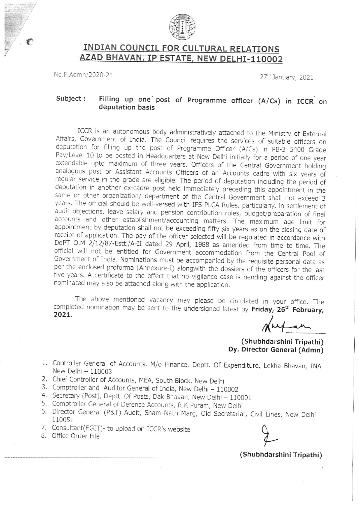

## INDIAN COUNCIL FOR CULTURAL RELATIONS AZAD BHAVAN, IP ESTATE, NEW DELHI-110002

No.F.Admn/2020-21 27<sup>th</sup> January, 2021

## Subject : Filling up one post of Programme officer (A/Cs) in ICCR on deputation basis

ICCR is an autonomous body administratively attached to the Ministry of External<br>Affairs, Government of India. The Council requires the services of suitable officers on<br>deputation for filling up the post of Programme Offic extendable upto maximum of three years. Officers of the Central Government holding<br>analogous post or Assistant Accounts Officers of an Accounts cadre with six years of regular service in the grade are eligible. The period of deputation including the period of deputation in another ex-cadre post held immediately preceding this appointment in the same or other organization/ department of the Central Government shall not exceed 3 years. The official should be well-versed with IFS-PLCA Rules, particularly, in settlement of audit objections, leave salary and pension contribution rules, budget/preparation of final accounts and other establishment/accounting matters. The maximum age limit for appointment by deputation shall not be exceeding fifty six years as on the closing date of receipt of application. The pay of the officer selected will be regulated in accordance with DoPT O.M 2/12/87-Estt./A-II dated 29 A official will not be entitled for Government accommodation from the Central Pool of Government of India. Nominations must be accompanied by the requisite personal data as per the enclosed proforma (Annexure-I) alongwith th five years. A certificate to the effect that no vigilance case is pending against the officer nominated may also be attached along with the application.

The above mentioned vacancy may please be circulated in your office. The completed nomination may be sent to the undersigned latest by **Friday, 26<sup>th</sup> February** 2021

(Shubhdarshini Tripathi) Dy. Director General (Admn)

- 1. Controller General of Accounts, M/o Finance, Deptt. Of Expenditure, Lekha Bhavan, INA, New Delhi - 110003
- 2. Chief Controller of Accounts, MEA, South Block, New Delhi
- 3. Comptroller and Auditor General of India, New Delhi 110002
- 4. Secretary (Post), Deptt. Of Posts, Dak Bhavan, New Delhi 110001
- 5. Comptroller General of Defence Accounts, R K Puram, New Delhi
- 6. Director General (P&T) Audit, Sham Nath Marg, Old Secretariat, Civil Lines, New Delhi –<br>110051 110051
- 7. Consultant(EGIT)- to upload on ICCR's website 8. Office Order File
- 

(Shubhdarshini Tripathi)